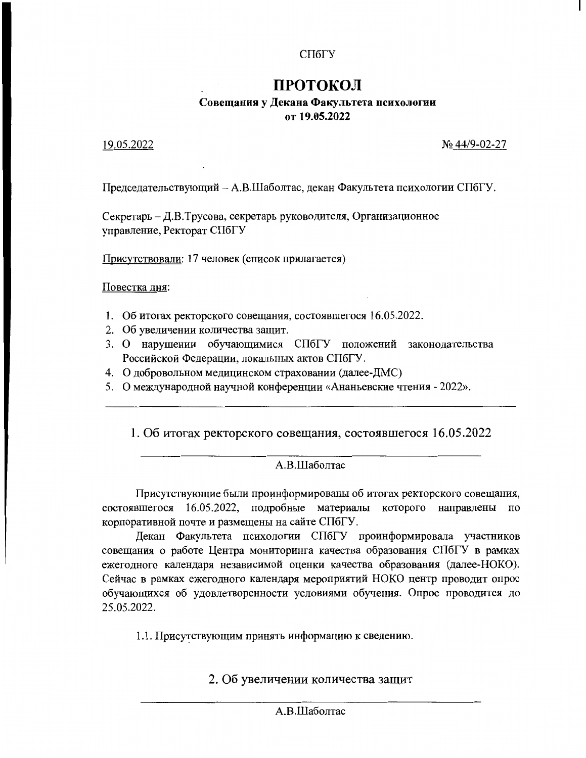# СПбГУ

# ПРОТОКОЛ

## Совещания у Декана Факультета психологии от 19.05.2022

### 19.05.2022

№ 44/9-02-27

Председательствующий - А.В.Шаболтас, декан Факультета психологии СПбГУ.

Секретарь - Д.В.Трусова, секретарь руководителя, Организационное управление, Ректорат СПбГУ

Присутствовали: 17 человек (список прилагается)

Повестка дня:

- 1. Об итогах ректорского совещания, состоявшегося 16.05.2022.
- 2. Об увеличении количества защит.
- 3. О нарушении обучающимися СПбГУ положений законодательства Российской Федерации, локальных актов СПбГУ.
- 4. О добровольном медицинском страховании (далее-ДМС)
- 5. О международной научной конференции «Ананьевские чтения 2022».

1. Об итогах ректорского совещания, состоявшегося 16.05.2022

### А.В.Шаболтас

Присутствующие были проинформированы об итогах ректорского совещания, состоявшегося 16.05.2022, подробные материалы которого направлены по корпоративной почте и размещены на сайте СПбГУ.

Декан Факультета психологии СПбГУ проинформировала участников совещания о работе Центра мониторинга качества образования СПбГУ в рамках ежегодного календаря независимой оценки качества образования (далее-НОКО). Сейчас в рамках ежегодного календаря мероприятий НОКО центр проводит опрос обучающихся об удовлетворенности условиями обучения. Опрос проводится до 25.05.2022.

1.1. Присутствующим принять информацию к сведению.

2. Об увеличении количества защит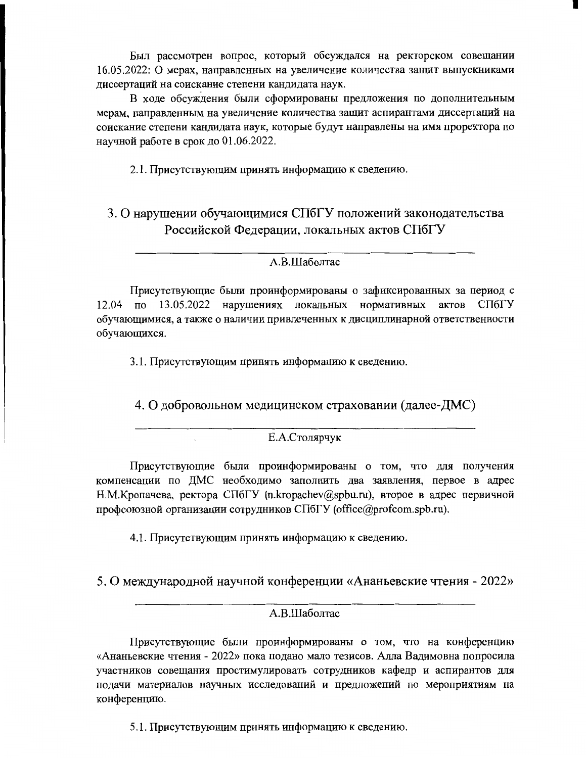Был рассмотрен вопрос, который обсуждался на ректорском совещании 16.05.2022: О мерах, направленных на увеличение количества защит выпускниками диссертаций на соискание степени кандидата наук.

В ходе обсуждения были сформированы предложения по дополнительным мерам, направленным на увеличение количества защит аспирантами диссертаций на соискание степени кандидата наук, которые будут направлены на имя проректора по научной работе в срок до 01.06.2022.

2.1. Присутствующим принять информацию к сведению.

# 3. О нарушении обучающимися СПбГУ положений законодательства Российской Федерации, локальных актов СПбГУ

### А.В.Шаболтас

Присутствующие были проинформированы о зафиксированных за период с 12.04 по 13.05.2022 нарушениях локальных нормативных актов СПбГУ обучающимися, а также о наличии привлеченных к дисциплинарной ответственности обучающихся.

3.1. Присутствующим принять информацию к сведению.

4. О добровольном медицинском страховании (далее-ДМС)

#### Е.А.Столярчук

Присутствующие были проинформированы о том, что для получения компенсации по ДМС необходимо заполнить два заявления, первое в адрес Н.М. Кропачева, ректора СПбГУ (n.kropachev@spbu.ru), второе в адрес первичной профсоюзной организации сотрудников СПбГУ (office@profcom.spb.ru).

4.1. Присутствующим принять информацию к сведению.

5. О международной научной конференции «Ананьевские чтения - 2022»

#### А.В.Шаболтас

Присутствующие были проинформированы о том, что на конференцию «Ананьевские чтения - 2022» пока подано мало тезисов. Алла Вадимовна попросила участников совещания простимулировать сотрудников кафедр и аспирантов для подачи материалов научных исследований и предложений по мероприятиям на конференцию.

5.1. Присутствующим принять информацию к сведению.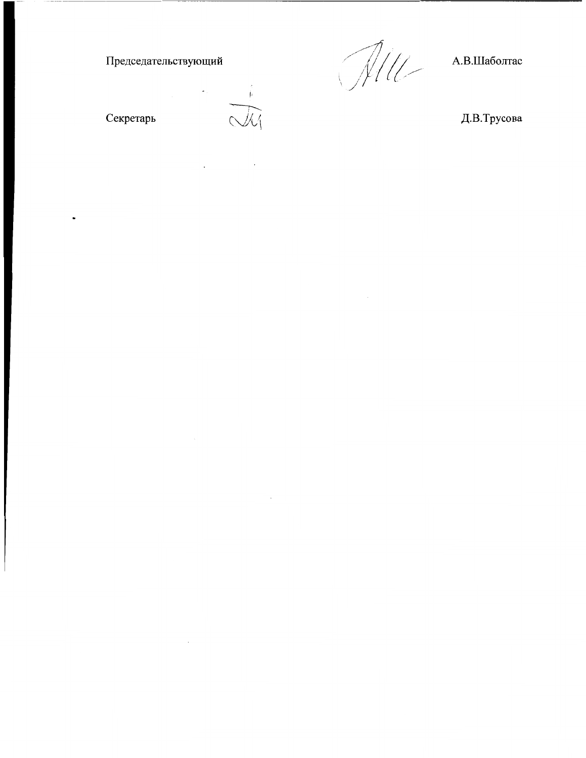Председательствующий

Секретарь

 $\ddot{\phantom{0}}$ 

Alle

 $\sim 10^{-1}$ 

А.В.Шаболтас

 $\pm$ 

 $\sim$ 

 $\sim 10^7$ 

 $\ddot{\phantom{a}}$ 

Д.В.Трусова